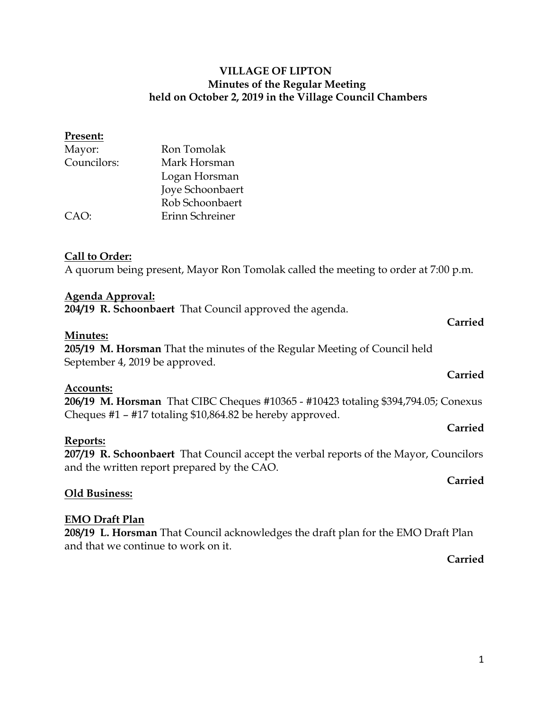| Present:    |                  |
|-------------|------------------|
| Mayor:      | Ron Tomolak      |
| Councilors: | Mark Horsman     |
|             | Logan Horsman    |
|             | Joye Schoonbaert |
|             | Rob Schoonbaert  |
| CAO:        | Erinn Schreiner  |
|             |                  |

#### **Call to Order:**

A quorum being present, Mayor Ron Tomolak called the meeting to order at 7:00 p.m.

#### **Agenda Approval:**

**204/19 R. Schoonbaert** That Council approved the agenda.

#### **Minutes:**

**205/19 M. Horsman** That the minutes of the Regular Meeting of Council held September 4, 2019 be approved.

#### **Accounts:**

**206/19 M. Horsman** That CIBC Cheques #10365 - #10423 totaling \$394,794.05; Conexus Cheques #1 – #17 totaling \$10,864.82 be hereby approved.

#### **Reports:**

**207/19 R. Schoonbaert** That Council accept the verbal reports of the Mayor, Councilors and the written report prepared by the CAO.

#### **Old Business:**

#### **EMO Draft Plan**

**208/19 L. Horsman** That Council acknowledges the draft plan for the EMO Draft Plan and that we continue to work on it.

**Carried**

**Carried**

**Carried**

**Carried**

**Carried**

#### 1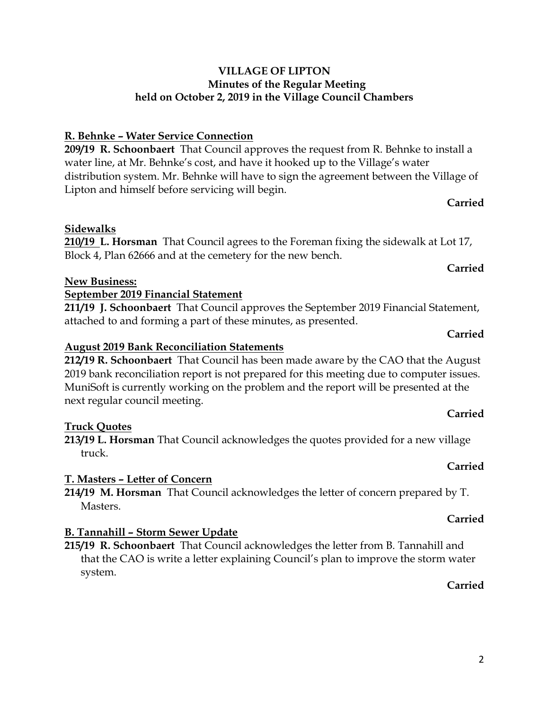# **R. Behnke – Water Service Connection**

**209/19 R. Schoonbaert** That Council approves the request from R. Behnke to install a water line, at Mr. Behnke's cost, and have it hooked up to the Village's water distribution system. Mr. Behnke will have to sign the agreement between the Village of Lipton and himself before servicing will begin.

**210/19 L. Horsman** That Council agrees to the Foreman fixing the sidewalk at Lot 17,

# **Carried**

# **Carried**

**Carried**

#### **August 2019 Bank Reconciliation Statements**

**September 2019 Financial Statement**

Block 4, Plan 62666 and at the cemetery for the new bench.

attached to and forming a part of these minutes, as presented.

**212/19 R. Schoonbaert** That Council has been made aware by the CAO that the August 2019 bank reconciliation report is not prepared for this meeting due to computer issues. MuniSoft is currently working on the problem and the report will be presented at the next regular council meeting.

**211/19 J. Schoonbaert** That Council approves the September 2019 Financial Statement,

### **Truck Quotes**

**Sidewalks**

**New Business:** 

**213/19 L. Horsman** That Council acknowledges the quotes provided for a new village truck.

### **T. Masters – Letter of Concern**

**214/19 M. Horsman** That Council acknowledges the letter of concern prepared by T. Masters.

# **B. Tannahill – Storm Sewer Update**

**215/19 R. Schoonbaert** That Council acknowledges the letter from B. Tannahill and that the CAO is write a letter explaining Council's plan to improve the storm water system.

### **Carried**

# **Carried**

# **Carried**

**Carried**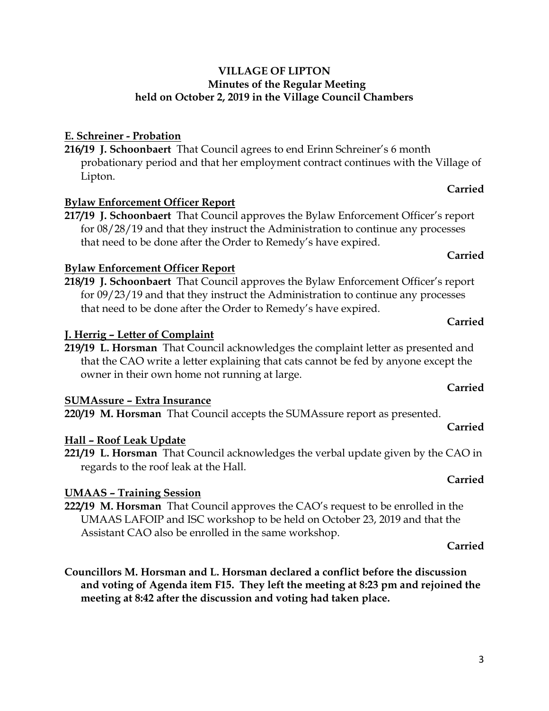# **E. Schreiner - Probation**

**216/19 J. Schoonbaert** That Council agrees to end Erinn Schreiner's 6 month probationary period and that her employment contract continues with the Village of Lipton.

### **Bylaw Enforcement Officer Report**

**217/19 J. Schoonbaert** That Council approves the Bylaw Enforcement Officer's report for 08/28/19 and that they instruct the Administration to continue any processes that need to be done after the Order to Remedy's have expired.

### **Bylaw Enforcement Officer Report**

**218/19 J. Schoonbaert** That Council approves the Bylaw Enforcement Officer's report for 09/23/19 and that they instruct the Administration to continue any processes that need to be done after the Order to Remedy's have expired.

### **J. Herrig – Letter of Complaint**

**219/19 L. Horsman** That Council acknowledges the complaint letter as presented and that the CAO write a letter explaining that cats cannot be fed by anyone except the owner in their own home not running at large.

### **SUMAssure – Extra Insurance**

**220/19 M. Horsman** That Council accepts the SUMAssure report as presented.

### **Hall – Roof Leak Update**

**221/19 L. Horsman** That Council acknowledges the verbal update given by the CAO in regards to the roof leak at the Hall.

### **UMAAS – Training Session**

**222/19 M. Horsman** That Council approves the CAO's request to be enrolled in the UMAAS LAFOIP and ISC workshop to be held on October 23, 2019 and that the Assistant CAO also be enrolled in the same workshop.

#### **Carried**

**Carried**

**Councillors M. Horsman and L. Horsman declared a conflict before the discussion and voting of Agenda item F15. They left the meeting at 8:23 pm and rejoined the meeting at 8:42 after the discussion and voting had taken place.**

# **Carried**

**Carried**

### **Carried**

# **Carried**

# **Carried**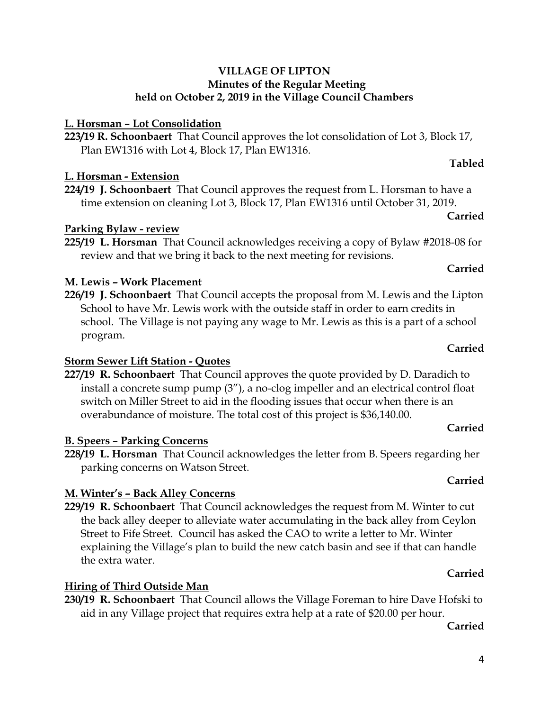# **L. Horsman – Lot Consolidation**

**223/19 R. Schoonbaert** That Council approves the lot consolidation of Lot 3, Block 17, Plan EW1316 with Lot 4, Block 17, Plan EW1316.

# **L. Horsman - Extension**

**224/19 J. Schoonbaert** That Council approves the request from L. Horsman to have a time extension on cleaning Lot 3, Block 17, Plan EW1316 until October 31, 2019.

# **Parking Bylaw - review**

**225/19 L. Horsman** That Council acknowledges receiving a copy of Bylaw #2018-08 for review and that we bring it back to the next meeting for revisions.

# **M. Lewis – Work Placement**

**226/19 J. Schoonbaert** That Council accepts the proposal from M. Lewis and the Lipton School to have Mr. Lewis work with the outside staff in order to earn credits in school. The Village is not paying any wage to Mr. Lewis as this is a part of a school program.

# **Storm Sewer Lift Station - Quotes**

**227/19 R. Schoonbaert** That Council approves the quote provided by D. Daradich to install a concrete sump pump (3"), a no-clog impeller and an electrical control float switch on Miller Street to aid in the flooding issues that occur when there is an overabundance of moisture. The total cost of this project is \$36,140.00.

# **B. Speers – Parking Concerns**

**228/19 L. Horsman** That Council acknowledges the letter from B. Speers regarding her parking concerns on Watson Street.

# **M. Winter's – Back Alley Concerns**

**229/19 R. Schoonbaert** That Council acknowledges the request from M. Winter to cut the back alley deeper to alleviate water accumulating in the back alley from Ceylon Street to Fife Street. Council has asked the CAO to write a letter to Mr. Winter explaining the Village's plan to build the new catch basin and see if that can handle the extra water. **Carried**

# **Hiring of Third Outside Man**

**230/19 R. Schoonbaert** That Council allows the Village Foreman to hire Dave Hofski to aid in any Village project that requires extra help at a rate of \$20.00 per hour.

# **Carried**

# **Carried**

# **Tabled**

**Carried**

**Carried**

**Carried**

**Carried**